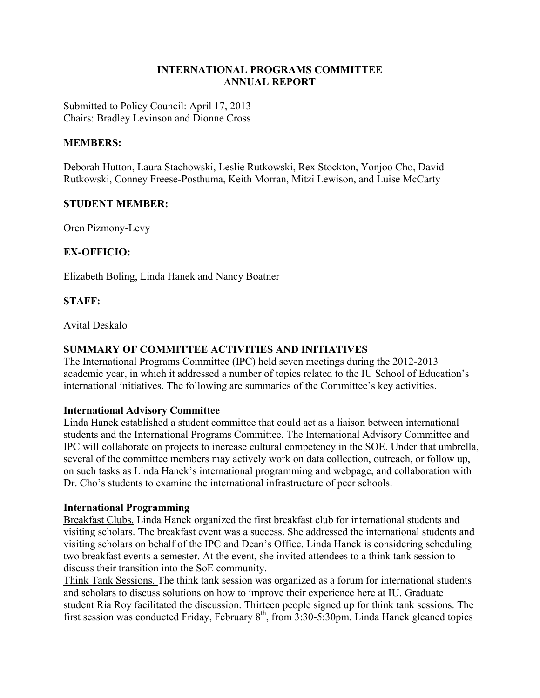## **INTERNATIONAL PROGRAMS COMMITTEE ANNUAL REPORT**

Submitted to Policy Council: April 17, 2013 Chairs: Bradley Levinson and Dionne Cross

#### **MEMBERS:**

Deborah Hutton, Laura Stachowski, Leslie Rutkowski, Rex Stockton, Yonjoo Cho, David Rutkowski, Conney Freese-Posthuma, Keith Morran, Mitzi Lewison, and Luise McCarty

## **STUDENT MEMBER:**

Oren Pizmony-Levy

# **EX-OFFICIO:**

Elizabeth Boling, Linda Hanek and Nancy Boatner

#### **STAFF:**

Avital Deskalo

## **SUMMARY OF COMMITTEE ACTIVITIES AND INITIATIVES**

The International Programs Committee (IPC) held seven meetings during the 2012-2013 academic year, in which it addressed a number of topics related to the IU School of Education's international initiatives. The following are summaries of the Committee's key activities.

#### **International Advisory Committee**

Linda Hanek established a student committee that could act as a liaison between international students and the International Programs Committee. The International Advisory Committee and IPC will collaborate on projects to increase cultural competency in the SOE. Under that umbrella, several of the committee members may actively work on data collection, outreach, or follow up, on such tasks as Linda Hanek's international programming and webpage, and collaboration with Dr. Cho's students to examine the international infrastructure of peer schools.

#### **International Programming**

Breakfast Clubs. Linda Hanek organized the first breakfast club for international students and visiting scholars. The breakfast event was a success. She addressed the international students and visiting scholars on behalf of the IPC and Dean's Office. Linda Hanek is considering scheduling two breakfast events a semester. At the event, she invited attendees to a think tank session to discuss their transition into the SoE community.

Think Tank Sessions. The think tank session was organized as a forum for international students and scholars to discuss solutions on how to improve their experience here at IU. Graduate student Ria Roy facilitated the discussion. Thirteen people signed up for think tank sessions. The first session was conducted Friday, February  $8<sup>th</sup>$ , from 3:30-5:30pm. Linda Hanek gleaned topics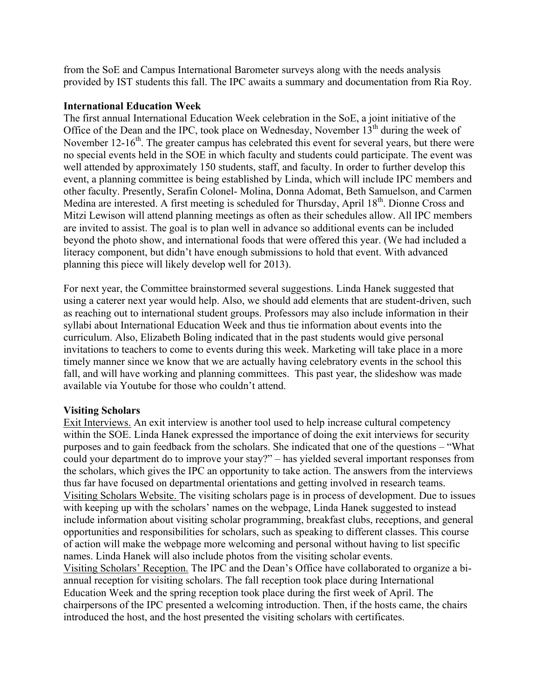from the SoE and Campus International Barometer surveys along with the needs analysis provided by IST students this fall. The IPC awaits a summary and documentation from Ria Roy.

#### **International Education Week**

The first annual International Education Week celebration in the SoE, a joint initiative of the Office of the Dean and the IPC, took place on Wednesday, November  $13<sup>th</sup>$  during the week of November  $12$ -16<sup>th</sup>. The greater campus has celebrated this event for several years, but there were no special events held in the SOE in which faculty and students could participate. The event was well attended by approximately 150 students, staff, and faculty. In order to further develop this event, a planning committee is being established by Linda, which will include IPC members and other faculty. Presently, Serafin Colonel- Molina, Donna Adomat, Beth Samuelson, and Carmen Medina are interested. A first meeting is scheduled for Thursday, April 18<sup>th</sup>. Dionne Cross and Mitzi Lewison will attend planning meetings as often as their schedules allow. All IPC members are invited to assist. The goal is to plan well in advance so additional events can be included beyond the photo show, and international foods that were offered this year. (We had included a literacy component, but didn't have enough submissions to hold that event. With advanced planning this piece will likely develop well for 2013).

For next year, the Committee brainstormed several suggestions. Linda Hanek suggested that using a caterer next year would help. Also, we should add elements that are student-driven, such as reaching out to international student groups. Professors may also include information in their syllabi about International Education Week and thus tie information about events into the curriculum. Also, Elizabeth Boling indicated that in the past students would give personal invitations to teachers to come to events during this week. Marketing will take place in a more timely manner since we know that we are actually having celebratory events in the school this fall, and will have working and planning committees. This past year, the slideshow was made available via Youtube for those who couldn't attend.

#### **Visiting Scholars**

Exit Interviews. An exit interview is another tool used to help increase cultural competency within the SOE. Linda Hanek expressed the importance of doing the exit interviews for security purposes and to gain feedback from the scholars. She indicated that one of the questions – "What could your department do to improve your stay?" – has yielded several important responses from the scholars, which gives the IPC an opportunity to take action. The answers from the interviews thus far have focused on departmental orientations and getting involved in research teams. Visiting Scholars Website. The visiting scholars page is in process of development. Due to issues with keeping up with the scholars' names on the webpage, Linda Hanek suggested to instead include information about visiting scholar programming, breakfast clubs, receptions, and general opportunities and responsibilities for scholars, such as speaking to different classes. This course of action will make the webpage more welcoming and personal without having to list specific names. Linda Hanek will also include photos from the visiting scholar events. Visiting Scholars' Reception. The IPC and the Dean's Office have collaborated to organize a biannual reception for visiting scholars. The fall reception took place during International Education Week and the spring reception took place during the first week of April. The chairpersons of the IPC presented a welcoming introduction. Then, if the hosts came, the chairs introduced the host, and the host presented the visiting scholars with certificates.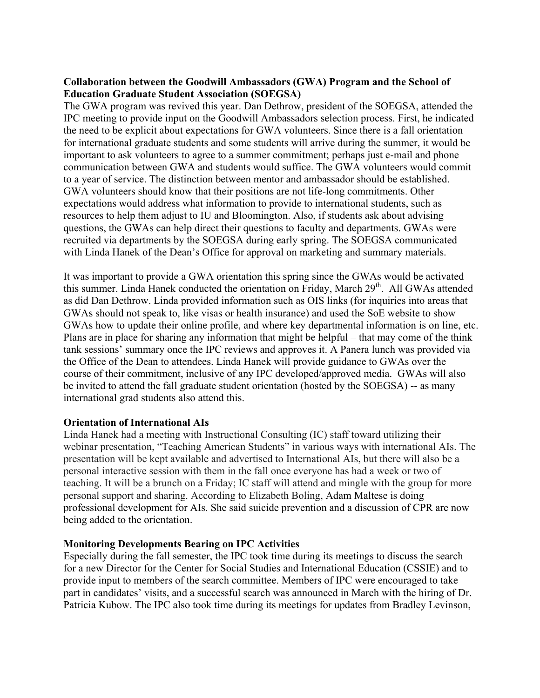## **Collaboration between the Goodwill Ambassadors (GWA) Program and the School of Education Graduate Student Association (SOEGSA)**

The GWA program was revived this year. Dan Dethrow, president of the SOEGSA, attended the IPC meeting to provide input on the Goodwill Ambassadors selection process. First, he indicated the need to be explicit about expectations for GWA volunteers. Since there is a fall orientation for international graduate students and some students will arrive during the summer, it would be important to ask volunteers to agree to a summer commitment; perhaps just e-mail and phone communication between GWA and students would suffice. The GWA volunteers would commit to a year of service. The distinction between mentor and ambassador should be established. GWA volunteers should know that their positions are not life-long commitments. Other expectations would address what information to provide to international students, such as resources to help them adjust to IU and Bloomington. Also, if students ask about advising questions, the GWAs can help direct their questions to faculty and departments. GWAs were recruited via departments by the SOEGSA during early spring. The SOEGSA communicated with Linda Hanek of the Dean's Office for approval on marketing and summary materials.

It was important to provide a GWA orientation this spring since the GWAs would be activated this summer. Linda Hanek conducted the orientation on Friday, March 29<sup>th</sup>. All GWAs attended as did Dan Dethrow. Linda provided information such as OIS links (for inquiries into areas that GWAs should not speak to, like visas or health insurance) and used the SoE website to show GWAs how to update their online profile, and where key departmental information is on line, etc. Plans are in place for sharing any information that might be helpful – that may come of the think tank sessions' summary once the IPC reviews and approves it. A Panera lunch was provided via the Office of the Dean to attendees. Linda Hanek will provide guidance to GWAs over the course of their commitment, inclusive of any IPC developed/approved media. GWAs will also be invited to attend the fall graduate student orientation (hosted by the SOEGSA) -- as many international grad students also attend this.

#### **Orientation of International AIs**

Linda Hanek had a meeting with Instructional Consulting (IC) staff toward utilizing their webinar presentation, "Teaching American Students" in various ways with international AIs. The presentation will be kept available and advertised to International AIs, but there will also be a personal interactive session with them in the fall once everyone has had a week or two of teaching. It will be a brunch on a Friday; IC staff will attend and mingle with the group for more personal support and sharing. According to Elizabeth Boling, Adam Maltese is doing professional development for AIs. She said suicide prevention and a discussion of CPR are now being added to the orientation.

# **Monitoring Developments Bearing on IPC Activities**

Especially during the fall semester, the IPC took time during its meetings to discuss the search for a new Director for the Center for Social Studies and International Education (CSSIE) and to provide input to members of the search committee. Members of IPC were encouraged to take part in candidates' visits, and a successful search was announced in March with the hiring of Dr. Patricia Kubow. The IPC also took time during its meetings for updates from Bradley Levinson,